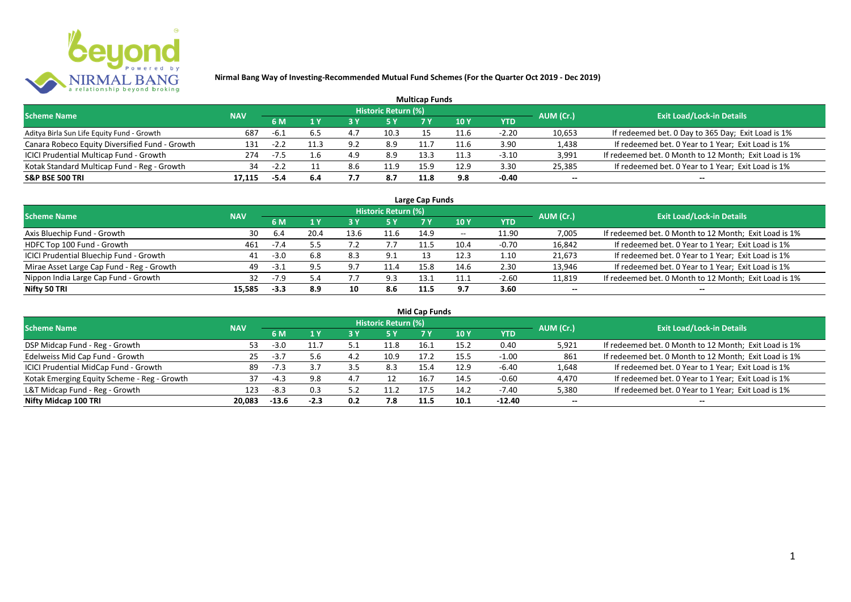

|                                                |            |        |     |     |                            | <b>Multicap Funds</b> |      |            |           |                                                       |
|------------------------------------------------|------------|--------|-----|-----|----------------------------|-----------------------|------|------------|-----------|-------------------------------------------------------|
| <b>Scheme Name</b>                             | <b>NAV</b> |        |     |     | <b>Historic Return (%)</b> |                       |      |            | AUM (Cr.) | <b>Exit Load/Lock-in Details</b>                      |
|                                                |            | 6 M    |     |     |                            |                       | 10 Y | <b>YTD</b> |           |                                                       |
| Aditya Birla Sun Life Equity Fund - Growth     | 687        | -6.1   |     | 4.7 | 10.3                       |                       | -1.6 | $-2.20$    | 10,653    | If redeemed bet. 0 Day to 365 Day; Exit Load is 1%    |
| Canara Robeco Equity Diversified Fund - Growth | 131        |        |     | 9.2 | 8.9                        |                       | 11.6 | 3.90       | 1,438     | If redeemed bet. 0 Year to 1 Year; Exit Load is 1%    |
| ICICI Prudential Multicap Fund - Growth        | 274        | $-7.5$ |     | 4.9 | 8.9                        | 13.3                  | 11.? | $-3.10$    | 3,991     | If redeemed bet. 0 Month to 12 Month; Exit Load is 1% |
| Kotak Standard Multicap Fund - Reg - Growth    | 34         |        |     | 8.6 | 11.9                       | 15.9                  | 12.9 | 3.30       | 25,385    | If redeemed bet. 0 Year to 1 Year; Exit Load is 1%    |
| <b>S&amp;P BSE 500 TRI</b>                     | 17.115     | $-5.4$ | 6.4 | ,,, | 8.7                        | 11.8                  | 9.8  | $-0.40$    | $- -$     | $- -$                                                 |

| Large Cap Funds                           |            |        |      |      |                            |      |            |         |           |                                                       |  |  |  |
|-------------------------------------------|------------|--------|------|------|----------------------------|------|------------|---------|-----------|-------------------------------------------------------|--|--|--|
| <b>Scheme Name</b>                        | <b>NAV</b> |        |      |      | <b>Historic Return (%)</b> |      |            |         | AUM (Cr.) | <b>Exit Load/Lock-in Details</b>                      |  |  |  |
|                                           |            | 6 M    |      |      | 5 Y                        |      | <b>10Y</b> | YTD     |           |                                                       |  |  |  |
| Axis Bluechip Fund - Growth               | 30         | 6.4    | 20.4 | 13.6 | 11.6                       | 14.9 | $- -$      | 11.90   | 7,005     | If redeemed bet. 0 Month to 12 Month; Exit Load is 1% |  |  |  |
| HDFC Top 100 Fund - Growth                | 461        | -7.4   |      |      |                            |      | 10.4       | $-0.70$ | 16,842    | If redeemed bet. 0 Year to 1 Year; Exit Load is 1%    |  |  |  |
| ICICI Prudential Bluechip Fund - Growth   | 41         | $-3.0$ | 6.8  | 8.3  | 9.1                        |      | 12.3       | 1.10    | 21,673    | If redeemed bet. 0 Year to 1 Year; Exit Load is 1%    |  |  |  |
| Mirae Asset Large Cap Fund - Reg - Growth | 49         | $-3.1$ | 9.5  | 9.7  | 11.4                       | 15.8 | 14.6       | 2.30    | 13,946    | If redeemed bet. 0 Year to 1 Year; Exit Load is 1%    |  |  |  |
| Nippon India Large Cap Fund - Growth      | 32         | $-7.9$ | 5.4  |      | 9.3                        | 13.1 | 11.1       | $-2.60$ | 11,819    | If redeemed bet. 0 Month to 12 Month; Exit Load is 1% |  |  |  |
| Nifty 50 TRI                              | 15.585     | $-3.3$ | 8.9  | 10   | 8.6                        | 11.5 | 9.7        | 3.60    | $- -$     | $- -$                                                 |  |  |  |

| <b>Mid Cap Funds</b>                        |            |         |        |      |                            |      |      |            |           |                                                       |  |  |  |
|---------------------------------------------|------------|---------|--------|------|----------------------------|------|------|------------|-----------|-------------------------------------------------------|--|--|--|
| <b>Scheme Name</b>                          | <b>NAV</b> |         |        |      | <b>Historic Return (%)</b> |      |      |            | AUM (Cr.) | <b>Exit Load/Lock-in Details</b>                      |  |  |  |
|                                             |            | 6 M     |        |      | 5 Y                        | 7 Y  | 10 Y | <b>YTD</b> |           |                                                       |  |  |  |
| DSP Midcap Fund - Reg - Growth              | 53.        | $-3.0$  | 11.7   |      | 11.8                       | 16.1 | 15.2 | 0.40       | 5,921     | If redeemed bet. 0 Month to 12 Month; Exit Load is 1% |  |  |  |
| Edelweiss Mid Cap Fund - Growth             | 25         | $-3.7$  | 5.6    | 4.2  | 10.9                       | 17.2 | 15.5 | $-1.00$    | 861       | If redeemed bet. 0 Month to 12 Month; Exit Load is 1% |  |  |  |
| ICICI Prudential MidCap Fund - Growth       | 89         | $-7.3$  |        | -3.5 | 8.3                        | 15.4 | 12.9 | -6.40      | 1,648     | If redeemed bet. 0 Year to 1 Year; Exit Load is 1%    |  |  |  |
| Kotak Emerging Equity Scheme - Reg - Growth | 37         | $-4.3$  | 9.8    | 4.,  | 12                         | 16.7 | 14.5 | $-0.60$    | 4,470     | If redeemed bet. 0 Year to 1 Year; Exit Load is 1%    |  |  |  |
| L&T Midcap Fund - Reg - Growth              | 123        | -8.3    | 0.3    | ヒつ   | 11.2                       | 17.5 | 14.2 | -7.40      | 5,380     | If redeemed bet. 0 Year to 1 Year; Exit Load is 1%    |  |  |  |
| Nifty Midcap 100 TRI                        | 20.083     | $-13.6$ | $-2.3$ | 0.2  | 7.8                        | 11.5 | 10.1 | $-12.40$   | $- -$     | $- -$                                                 |  |  |  |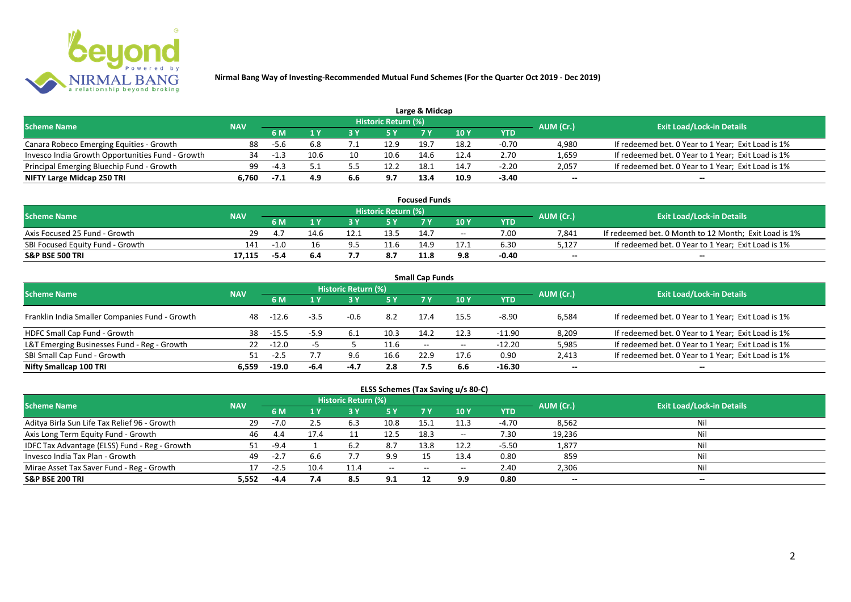

|                                                  |            |      |      |     |                            | Large & Midcap |      |         |           |                                                    |
|--------------------------------------------------|------------|------|------|-----|----------------------------|----------------|------|---------|-----------|----------------------------------------------------|
| <b>Scheme Name</b>                               | <b>NAV</b> |      |      |     | <b>Historic Return (%)</b> |                |      |         | AUM (Cr.) | <b>Exit Load/Lock-in Details</b>                   |
|                                                  |            | 6 M  |      |     | 5 Y                        |                |      | YTD     |           |                                                    |
| Canara Robeco Emerging Equities - Growth         | 88         | -5.6 |      |     | 12.9                       | 19.            | 18.2 | $-0.70$ | 4.980     | If redeemed bet. 0 Year to 1 Year; Exit Load is 1% |
| Invesco India Growth Opportunities Fund - Growth |            |      | 10.6 | 10  | 10.6                       | 14.6           | 12.4 | 2.70    | 1,659     | If redeemed bet. 0 Year to 1 Year; Exit Load is 1% |
| Principal Emerging Bluechip Fund - Growth        | 99         |      |      |     | 12.2                       | 18.            | 14.7 | $-2.20$ | 2,057     | If redeemed bet. 0 Year to 1 Year; Exit Load is 1% |
| NIFTY Large Midcap 250 TRI                       | 6.760      | -7.1 | 4.9  | 6.6 | 9.7                        | 13.4           | 10.9 | $-3.40$ | $- -$     | $- -$                                              |

| <b>Focused Funds</b>             |            |        |      |    |                            |      |       |         |           |                                                       |  |  |  |
|----------------------------------|------------|--------|------|----|----------------------------|------|-------|---------|-----------|-------------------------------------------------------|--|--|--|
| <b>Scheme Name</b>               | <b>NAV</b> |        |      |    | <b>Historic Return (%)</b> |      |       |         | AUM (Cr.) | <b>Exit Load/Lock-in Details</b>                      |  |  |  |
|                                  |            | 6 M    |      |    | 5 Y                        |      | 10 Y  | YTD     |           |                                                       |  |  |  |
| Axis Focused 25 Fund - Growth    | 29.        |        | 14.6 |    | 13.5                       | 14.7 | $- -$ | 7.00    | 7,841     | If redeemed bet. 0 Month to 12 Month; Exit Load is 1% |  |  |  |
| SBI Focused Equity Fund - Growth | 141        | $-1.0$ |      | 95 | 11.6                       | 14.9 |       | 6.30    | 5,127     | If redeemed bet. 0 Year to 1 Year; Exit Load is 1%    |  |  |  |
| <b>S&amp;P BSE 500 TRI</b>       | 17.115     | -5.4   |      |    | 8.7                        | 11.8 | 9.8   | $-0.40$ | $-$       | $-$                                                   |  |  |  |

| <b>Small Cap Funds</b>                         |            |         |        |                     |      |                   |       |            |           |                                                    |  |  |  |
|------------------------------------------------|------------|---------|--------|---------------------|------|-------------------|-------|------------|-----------|----------------------------------------------------|--|--|--|
| <b>Scheme Name</b>                             | <b>NAV</b> |         |        | Historic Return (%) |      |                   |       |            | AUM (Cr.) | <b>Exit Load/Lock-in Details</b>                   |  |  |  |
|                                                |            |         |        |                     | 5 Y  | 7 Y               | 710Y  | <b>YTD</b> |           |                                                    |  |  |  |
| Franklin India Smaller Companies Fund - Growth | 48         | -12.6   | $-3.5$ | $-0.6$              | 8.2  | 17.4              | 15.5  | $-8.90$    | 6,584     | If redeemed bet. 0 Year to 1 Year; Exit Load is 1% |  |  |  |
| HDFC Small Cap Fund - Growth                   | 38         | $-15.5$ | $-5.9$ | 6.1                 | 10.3 | 14.2              | 12.3  | -11.90     | 8,209     | If redeemed bet. 0 Year to 1 Year; Exit Load is 1% |  |  |  |
| L&T Emerging Businesses Fund - Reg - Growth    | 22         | $-12.0$ |        |                     | 11.6 | $\hspace{0.05cm}$ | $- -$ | $-12.20$   | 5,985     | If redeemed bet. 0 Year to 1 Year; Exit Load is 1% |  |  |  |
| SBI Small Cap Fund - Growth                    |            | $-2.5$  |        | 9.6                 | 16.6 | 22.9              | 17.6  | 0.90       | 2,413     | If redeemed bet. 0 Year to 1 Year; Exit Load is 1% |  |  |  |
| Nifty Smallcap 100 TRI                         | 6.559      | $-19.0$ | -6.4   | -4.7                | 2.8  | 7.5               | 6.6   | $-16.30$   | $- -$     | --                                                 |  |  |  |

## **ELSS Schemes (Tax Saving u/s 80-C)**

| <b>Scheme Name</b>                            | <b>NAV</b> |        |      | <b>Historic Return (%)</b> |      |           |                          |            | AUM (Cr.) | <b>Exit Load/Lock-in Details</b> |
|-----------------------------------------------|------------|--------|------|----------------------------|------|-----------|--------------------------|------------|-----------|----------------------------------|
|                                               |            | 6 M    |      | 3 Y                        | 5 Y  | <b>7Y</b> | 10Y                      | <b>YTD</b> |           |                                  |
| Aditya Birla Sun Life Tax Relief 96 - Growth  | 29         | $-7.0$ |      | 6.3                        | 10.8 | 15.1      | 11.3                     | $-4.70$    | 8,562     | Nil                              |
| Axis Long Term Equity Fund - Growth           | 46         | -4.4   | 17.4 |                            | 12.5 | 18.3      | $\overline{\phantom{m}}$ | 7.30       | 19,236    | Nil                              |
| IDFC Tax Advantage (ELSS) Fund - Reg - Growth | 51         | $-9.4$ |      | 6.2                        | 8.7  | 13.8      | 12.2                     | $-5.50$    | 1,877     | Nil                              |
| Invesco India Tax Plan - Growth               | 49         | $-2.7$ | 6.6  |                            | 9.9  |           | 13.4                     | 0.80       | 859       | Nil                              |
| Mirae Asset Tax Saver Fund - Reg - Growth     |            | -4.5   | 10.4 | 11.4                       | $-$  | --        |                          | 2.40       | 2,306     | Nil                              |
| <b>S&amp;P BSE 200 TRI</b>                    | 5.552      | -4.4   | 7.4  | 8.5                        | 9.1  |           | 9.9                      | 0.80       | $- -$     | $- -$                            |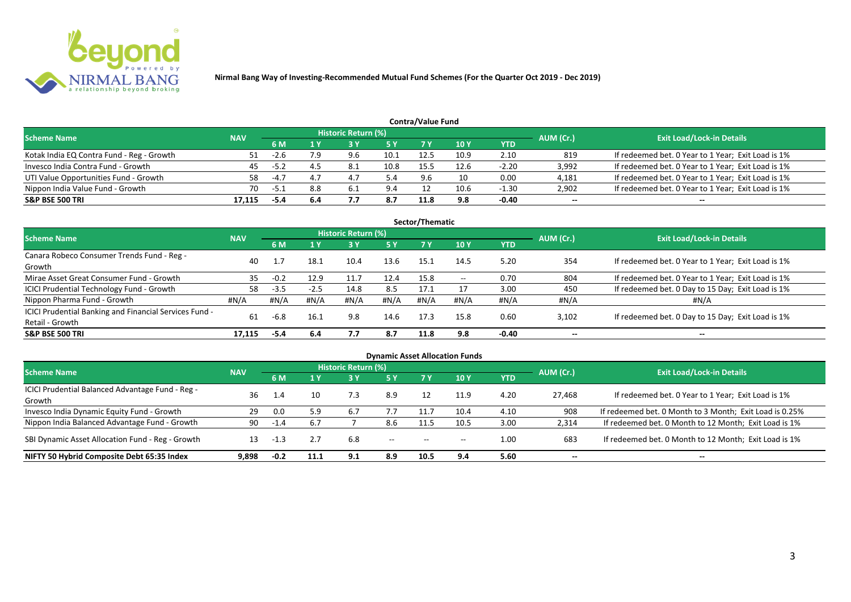

| Contra/Value Fund                         |            |        |     |                            |            |      |            |         |           |                                                    |  |  |  |
|-------------------------------------------|------------|--------|-----|----------------------------|------------|------|------------|---------|-----------|----------------------------------------------------|--|--|--|
| <b>Scheme Name</b>                        | <b>NAV</b> |        |     | <b>Historic Return (%)</b> |            |      |            |         | AUM (Cr.) | <b>Exit Load/Lock-in Details</b>                   |  |  |  |
|                                           |            | 6 M    |     |                            | <b>5 Y</b> | 7 V  | <b>10Y</b> | YTD     |           |                                                    |  |  |  |
| Kotak India EQ Contra Fund - Reg - Growth |            | -2.b   | 7.9 | 9.6                        | 10.1       | 12.5 | 10.9       | 2.10    | 819       | If redeemed bet. 0 Year to 1 Year; Exit Load is 1% |  |  |  |
| Invesco India Contra Fund - Growth        | 45         | $-5.2$ | 4.5 | -8.1                       | 10.8       | 155  | 12.6       | $-2.20$ | 3,992     | If redeemed bet. 0 Year to 1 Year; Exit Load is 1% |  |  |  |
| UTI Value Opportunities Fund - Growth     | 58         | $-4.7$ | 4.7 | 4.                         |            | 9.6  |            | 0.00    | 4,181     | If redeemed bet. 0 Year to 1 Year; Exit Load is 1% |  |  |  |
| Nippon India Value Fund - Growth          | 70         | -5.1   | 8.8 | 6.1                        | 9.4        |      | 10.6       | $-1.30$ | 2,902     | If redeemed bet. 0 Year to 1 Year; Exit Load is 1% |  |  |  |
| <b>S&amp;P BSE 500 TRI</b>                | 17.115     | -5.4   | 6.4 |                            | 8.7        | 11.8 | 9.8        | $-0.40$ | $- -$     | $- -$                                              |  |  |  |

| Sector/Thematic                                        |            |        |              |                            |           |      |       |         |           |                                                    |  |  |  |
|--------------------------------------------------------|------------|--------|--------------|----------------------------|-----------|------|-------|---------|-----------|----------------------------------------------------|--|--|--|
| Scheme Name                                            | <b>NAV</b> |        |              | <b>Historic Return (%)</b> |           |      |       |         | AUM (Cr.) | <b>Exit Load/Lock-in Details</b>                   |  |  |  |
|                                                        |            | 6 M    | $\sqrt{1}$ Y | <b>3 Y</b>                 | <b>5Y</b> | 7 Y  | 10Y   | YTD     |           |                                                    |  |  |  |
| Canara Robeco Consumer Trends Fund - Reg -             | 40         |        | 18.1         | 10.4                       | 13.6      | 15.1 | 14.5  | 5.20    | 354       | If redeemed bet. 0 Year to 1 Year; Exit Load is 1% |  |  |  |
| Growth                                                 |            |        |              |                            |           |      |       |         |           |                                                    |  |  |  |
| Mirae Asset Great Consumer Fund - Growth               | 35         | $-0.2$ | 12.9         | 11.7                       | 12.4      | 15.8 | $- -$ | 0.70    | 804       | If redeemed bet. 0 Year to 1 Year; Exit Load is 1% |  |  |  |
| ICICI Prudential Technology Fund - Growth              | 58         | $-3.5$ | $-2.5$       | 14.8                       | 8.5       | 17.1 |       | 3.00    | 450       | If redeemed bet. 0 Day to 15 Day; Exit Load is 1%  |  |  |  |
| Nippon Pharma Fund - Growth                            | #N/A       | #N/A   | #N/A         | #N/A                       | #N/A      | #N/A | #N/A  | #N/A    | #N/A      | #N/A                                               |  |  |  |
| ICICI Prudential Banking and Financial Services Fund - | 61         | $-6.8$ | 16.1         | 9.8                        | 14.6      | 17.3 | 15.8  | 0.60    | 3,102     | If redeemed bet. 0 Day to 15 Day; Exit Load is 1%  |  |  |  |
| Retail - Growth                                        |            |        |              |                            |           |      |       |         |           |                                                    |  |  |  |
| <b>S&amp;P BSE 500 TRI</b>                             | 17.115     | -5.4   | 6.4          | 7.7                        | 8.7       | 11.8 | 9.8   | $-0.40$ | --        | $- -$                                              |  |  |  |

| <b>Dynamic Asset Allocation Funds</b>            |            |        |      |                            |           |                          |       |            |           |                                                         |  |  |  |
|--------------------------------------------------|------------|--------|------|----------------------------|-----------|--------------------------|-------|------------|-----------|---------------------------------------------------------|--|--|--|
| <b>Scheme Name</b>                               | <b>NAV</b> |        |      | <b>Historic Return (%)</b> |           |                          |       |            | AUM (Cr.) | <b>Exit Load/Lock-in Details</b>                        |  |  |  |
|                                                  |            | 6 M    | 1 Y  | 73 Y                       | <b>5Y</b> | 7 Y                      | 10Y   | <b>YTD</b> |           |                                                         |  |  |  |
| ICICI Prudential Balanced Advantage Fund - Reg - | 36         | 1.4    | 10   | 7.3                        | 8.9       | 12                       | 11.9  | 4.20       | 27,468    | If redeemed bet. 0 Year to 1 Year; Exit Load is 1%      |  |  |  |
| Growth                                           |            |        |      |                            |           |                          |       |            |           |                                                         |  |  |  |
| Invesco India Dynamic Equity Fund - Growth       | 29         | 0.0    | 5.9  | 6.7                        | 7.7       | 11.7                     | 10.4  | 4.10       | 908       | If redeemed bet. 0 Month to 3 Month; Exit Load is 0.25% |  |  |  |
| Nippon India Balanced Advantage Fund - Growth    | 90         | $-1.4$ | 6.7  |                            | 8.6       |                          | 10.5  | 3.00       | 2,314     | If redeemed bet. 0 Month to 12 Month; Exit Load is 1%   |  |  |  |
| SBI Dynamic Asset Allocation Fund - Reg - Growth | 13         | $-1.3$ | 2.7  | 6.8                        | $- -$     | $\overline{\phantom{a}}$ | $- -$ | 1.00       | 683       | If redeemed bet. 0 Month to 12 Month; Exit Load is 1%   |  |  |  |
| NIFTY 50 Hybrid Composite Debt 65:35 Index       | 9,898      | $-0.2$ | 11.1 | 9.1                        | 8.9       | 10.5                     | 9.4   | 5.60       | $- -$     | $- -$                                                   |  |  |  |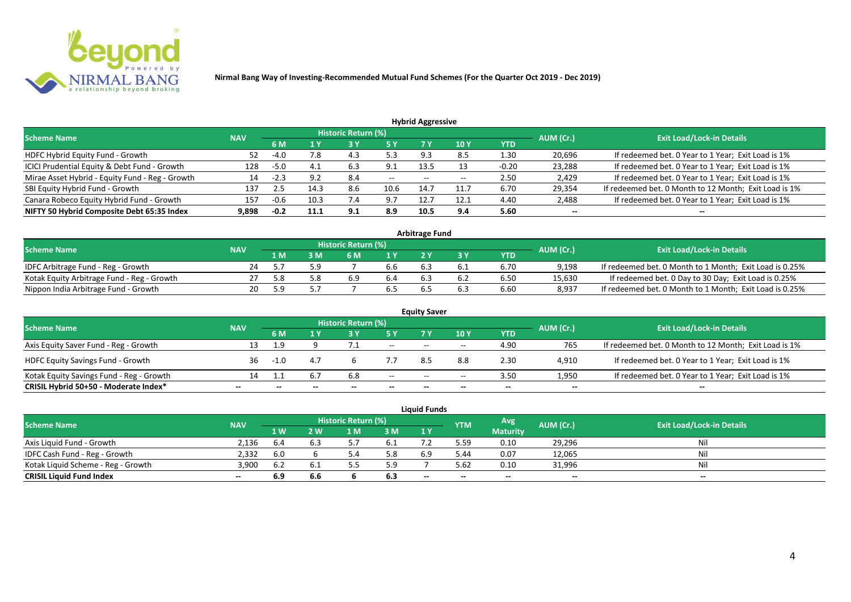

| <b>Hybrid Aggressive</b>                        |            |        |      |                            |        |       |       |            |           |                                                       |  |  |  |
|-------------------------------------------------|------------|--------|------|----------------------------|--------|-------|-------|------------|-----------|-------------------------------------------------------|--|--|--|
| <b>Scheme Name</b>                              | <b>NAV</b> |        |      | <b>Historic Return (%)</b> |        |       |       |            | AUM (Cr.) | <b>Exit Load/Lock-in Details</b>                      |  |  |  |
|                                                 |            | 6 M    | l Y  | 3 Y                        | 5 Y    |       | 10 Y  | <b>YTD</b> |           |                                                       |  |  |  |
| HDFC Hybrid Equity Fund - Growth                | 52         | -4.0   | 7.8  | 4.5                        | 5.3    | 9.3   | 8.5   | 1.30       | 20,696    | If redeemed bet. 0 Year to 1 Year; Exit Load is 1%    |  |  |  |
| ICICI Prudential Equity & Debt Fund - Growth    | 128        | $-5.0$ |      | 6.3                        | 9.1    | 13.5  |       | $-0.20$    | 23,288    | If redeemed bet. 0 Year to 1 Year; Exit Load is 1%    |  |  |  |
| Mirae Asset Hybrid - Equity Fund - Reg - Growth | 14         | -2.3   | 9.2  | 8.4                        | $\sim$ | $- -$ | $- -$ | 2.50       | 2,429     | If redeemed bet. 0 Year to 1 Year; Exit Load is 1%    |  |  |  |
| SBI Equity Hybrid Fund - Growth                 | 137        | 2.5    | 14.3 | 8.6                        | 10.6   | 14.7  | 11.7  | 6.70       | 29,354    | If redeemed bet. 0 Month to 12 Month; Exit Load is 1% |  |  |  |
| Canara Robeco Equity Hybrid Fund - Growth       | 157        | -0.6   | 10.3 | 7.4                        | 9.7    | 12.7  | 12.1  | 4.40       | 2,488     | If redeemed bet. 0 Year to 1 Year; Exit Load is 1%    |  |  |  |
| NIFTY 50 Hybrid Composite Debt 65:35 Index      | 9,898      | $-0.2$ | 11.1 | 9.1                        | 8.9    | 10.5  | 9.4   | 5.60       | $- -$     | $-$                                                   |  |  |  |

| <b>Arbitrage Fund</b>                      |            |      |     |                            |                  |  |     |      |           |                                                         |  |  |  |
|--------------------------------------------|------------|------|-----|----------------------------|------------------|--|-----|------|-----------|---------------------------------------------------------|--|--|--|
| <b>Scheme Name</b>                         | <b>NAV</b> |      |     | <b>Historic Return (%)</b> |                  |  |     |      | AUM (Cr.) | <b>Exit Load/Lock-in Details</b>                        |  |  |  |
|                                            |            | L M  | : M | 6 M                        | $\overline{1}$ Y |  |     | YTD  |           |                                                         |  |  |  |
| IDFC Arbitrage Fund - Reg - Growth         | 24         |      | 5.Y |                            | b.b              |  | b.1 | 6.70 | 9,198     | If redeemed bet. 0 Month to 1 Month; Exit Load is 0.25% |  |  |  |
| Kotak Equity Arbitrage Fund - Reg - Growth |            | -5.8 |     | 6.9                        | 6.4              |  |     | 6.50 | 15,630    | If redeemed bet. 0 Day to 30 Day; Exit Load is 0.25%    |  |  |  |
| Nippon India Arbitrage Fund - Growth       | 20         | 59   |     |                            | b.5              |  |     | 6.60 | 8,937     | If redeemed bet. 0 Month to 1 Month; Exit Load is 0.25% |  |  |  |

|                                          |            |     |     |                            |        | <b>Equity Saver</b>      |       |            |           |                                                       |
|------------------------------------------|------------|-----|-----|----------------------------|--------|--------------------------|-------|------------|-----------|-------------------------------------------------------|
| <b>Scheme Name</b>                       | <b>NAV</b> |     |     | <b>Historic Return (%)</b> |        |                          |       |            | AUM (Cr.) | <b>Exit Load/Lock-in Details</b>                      |
|                                          |            | 6 M |     |                            | 5 Y    | 7V                       | 10Y   | <b>YTD</b> |           |                                                       |
| Axis Equity Saver Fund - Reg - Growth    | 13         | - q |     |                            | $\sim$ | $- -$                    | $- -$ | 4.90       | 765       | If redeemed bet. 0 Month to 12 Month; Exit Load is 1% |
| <b>HDFC Equity Savings Fund - Growth</b> | 36.        |     | 4.7 |                            |        |                          | 8.8   | 2.30       | 4,910     | If redeemed bet. 0 Year to 1 Year; Exit Load is 1%    |
| Kotak Equity Savings Fund - Reg - Growth | 14         |     | 6.7 | 6.8                        | $- -$  | $\overline{\phantom{a}}$ | $- -$ | 3.50       | 1,950     | If redeemed bet. 0 Year to 1 Year; Exit Load is 1%    |
| CRISIL Hybrid 50+50 - Moderate Index*    | $- -$      |     |     |                            |        | --                       | $- -$ | $- -$      | $- -$     | $- -$                                                 |

|                                    |            |      |              |                     |     | <b>Liquid Funds</b> |            |                 |           |                                  |
|------------------------------------|------------|------|--------------|---------------------|-----|---------------------|------------|-----------------|-----------|----------------------------------|
| <b>Scheme Name</b>                 | <b>NAV</b> |      |              | Historic Return (%) |     |                     | <b>YTM</b> | Avg.            | AUM (Cr.) | <b>Exit Load/Lock-in Details</b> |
|                                    |            | 1 W  | $\mathbf{w}$ | ∣ M                 | 3 M | 1Y                  |            | <b>Maturity</b> |           |                                  |
| Axis Liquid Fund - Growth          | 2.136      | 6.4  | 6.3          |                     | 0.1 |                     | 5.59       | 0.10            | 29,296    | Nil                              |
| IDFC Cash Fund - Reg - Growth      | 2,332      | 6.0  |              |                     | 5.8 | 6.9                 | 44.د       | 0.07            | 12,065    | Nil                              |
| Kotak Liquid Scheme - Reg - Growth | 3,900      | .b 2 | 6.1          |                     | 5.9 |                     | 5.62       | 0.10            | 31,996    | Nil                              |
| <b>CRISIL Liquid Fund Index</b>    | $- -$      | 6.9  | 6.6          |                     | 6.3 | $-$                 | $- -$      | $- -$           | $- -$     | $- -$                            |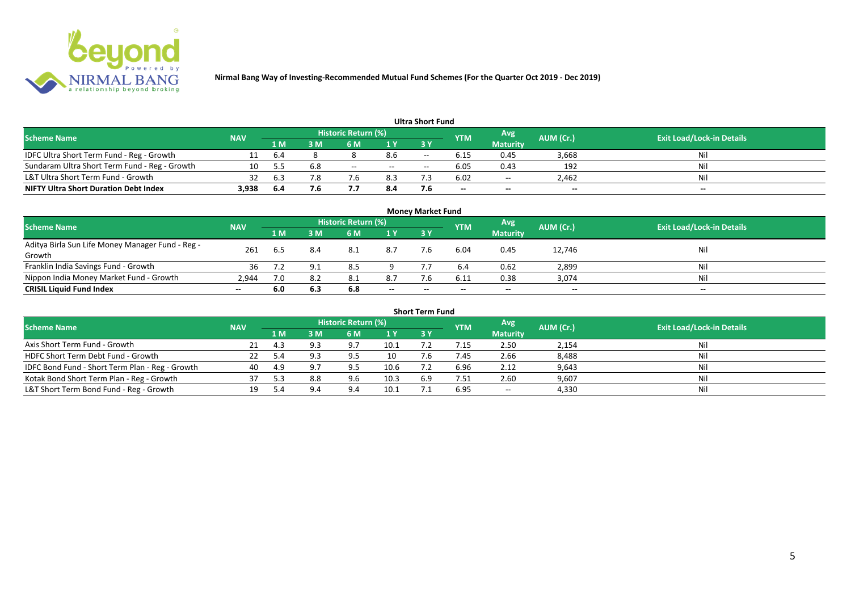

|                                               |            |      |     |                     |     | <b>Ultra Short Fund</b> |                          |                 |           |                                  |
|-----------------------------------------------|------------|------|-----|---------------------|-----|-------------------------|--------------------------|-----------------|-----------|----------------------------------|
| <b>Scheme Name</b>                            | <b>NAV</b> |      |     | Historic Return (%) |     |                         | <b>YTM</b>               | Avg             | AUM (Cr.) | <b>Exit Load/Lock-in Details</b> |
|                                               |            | 1 M  | 8 M | 6 M                 | 1 Y | 3 Y                     |                          | <b>Maturity</b> |           |                                  |
| IDFC Ultra Short Term Fund - Reg - Growth     |            | 6.4  |     |                     | 8.6 | $- -$                   |                          | 0.45            | 3,668     | Nil                              |
| Sundaram Ultra Short Term Fund - Reg - Growth | 10         |      |     | $- -$               | $-$ | $- -$                   | 6.05                     | 0.43            | 192       | Nil                              |
| L&T Ultra Short Term Fund - Growth            |            | 6.3  |     |                     | 8.3 |                         | 6.02                     | $\sim$ $\sim$   | 2,462     | Nil                              |
| <b>NIFTY Ultra Short Duration Debt Index</b>  | 3,938      | -6.4 | 7.6 |                     | 8.4 |                         | $\overline{\phantom{a}}$ | $-$             | $-$       | $- -$                            |

|                                                  |       |                                                                     |     |     |                                  | <b>Money Market Fund</b> |       |                 |        |       |
|--------------------------------------------------|-------|---------------------------------------------------------------------|-----|-----|----------------------------------|--------------------------|-------|-----------------|--------|-------|
| <b>Scheme Name</b>                               |       | Historic Return (%)<br>Avg<br>AUM (Cr.)<br><b>NAV</b><br><b>YTM</b> |     |     | <b>Exit Load/Lock-in Details</b> |                          |       |                 |        |       |
|                                                  |       | 1 M                                                                 | 3 M | 6 M | 1Y                               | 3Y                       |       | <b>Maturity</b> |        |       |
| Aditya Birla Sun Life Money Manager Fund - Reg - | 261   | 6.5                                                                 |     | 8.1 | 8.7                              | 7.6                      | 6.04  | 0.45            |        | Nil   |
| Growth                                           |       |                                                                     |     |     |                                  |                          |       |                 | 12,746 |       |
| Franklin India Savings Fund - Growth             | 36    |                                                                     |     | 8.5 |                                  |                          | 6.4   | 0.62            | 2,899  | Nil   |
| Nippon India Money Market Fund - Growth          | 2,944 | 7.0                                                                 |     | 8.1 | 8.7                              | 7.6                      | 6.11  | 0.38            | 3,074  | Nil   |
| <b>CRISIL Liquid Fund Index</b>                  | $- -$ | 6.0                                                                 | 6.3 | 6.8 | $-$                              | $\overline{\phantom{a}}$ | $- -$ | $- -$           | $- -$  | $- -$ |

|                                                 |            |      |     |                     |      | <b>Short Term Fund</b> |            |                 |           |                                  |
|-------------------------------------------------|------------|------|-----|---------------------|------|------------------------|------------|-----------------|-----------|----------------------------------|
| <b>Scheme Name</b>                              | <b>NAV</b> |      |     | Historic Return (%) |      |                        | <b>YTM</b> | Avg             | AUM (Cr.) | <b>Exit Load/Lock-in Details</b> |
|                                                 |            | 1 M. | 3 M | 6 M                 | 1Y   | <b>3 Y</b>             |            | <b>Maturity</b> |           |                                  |
| Axis Short Term Fund - Growth                   |            | 4.3  | 9.3 | 9.7                 | 10.1 |                        |            | 2.50            | 2,154     | Nil                              |
| HDFC Short Term Debt Fund - Growth              |            |      |     | 9.5                 | 10   |                        | 7.45       | 2.66            | 8,488     | Nil                              |
| IDFC Bond Fund - Short Term Plan - Reg - Growth | 40         | 4.9  | 9.7 | 9.5                 | 10.6 |                        | 6.96       | 2.12            | 9,643     | Nil                              |
| Kotak Bond Short Term Plan - Reg - Growth       | 37         | . ג  | 8.8 | 9.6                 | 10.3 | 6.9                    | 7.51       | 2.60            | 9,607     | Nil                              |
| L&T Short Term Bond Fund - Reg - Growth         |            |      | 9.4 | $Q \Lambda$         | 10.1 |                        | 6.95       | $- -$           | 4,330     | Nil                              |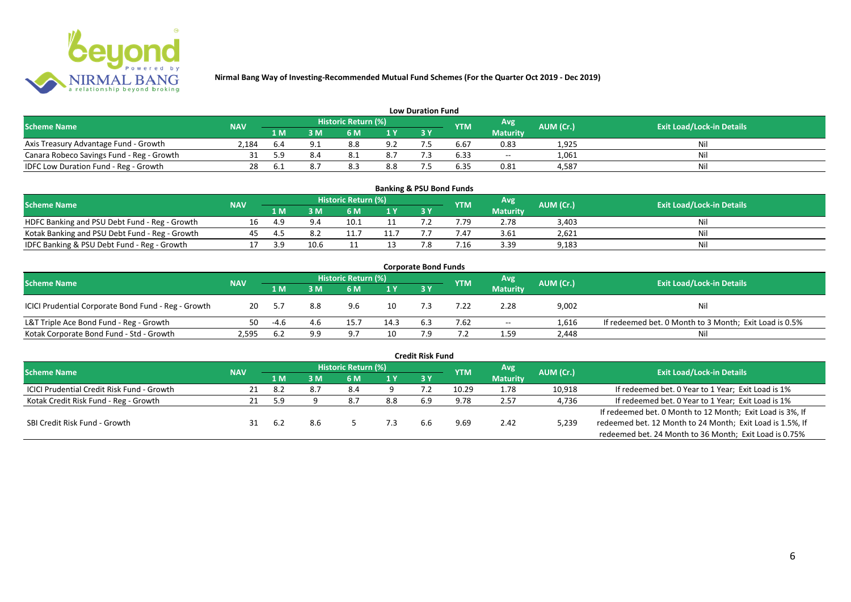

|                                           |                                                                      |     |                                  |                  |     | <b>Low Duration Fund</b> |      |                 |       |     |
|-------------------------------------------|----------------------------------------------------------------------|-----|----------------------------------|------------------|-----|--------------------------|------|-----------------|-------|-----|
| <b>Scheme Name</b>                        | Historic Return (%)<br>Avg'<br>AUM (Cr.)<br><b>NAV</b><br><b>YTM</b> |     | <b>Exit Load/Lock-in Details</b> |                  |     |                          |      |                 |       |     |
|                                           |                                                                      | 1 M | 3 M                              | 6 M              | 1 Y | 3 Y                      |      | <b>Maturity</b> |       |     |
| Axis Treasury Advantage Fund - Growth     | 2.184                                                                | b.4 |                                  | 8.8              | 9.2 |                          | 6.b. | 0.83            | 1,925 | Nil |
| Canara Robeco Savings Fund - Reg - Growth |                                                                      | 59  |                                  |                  | 8.7 |                          | 6.33 | $- -$           | 1,061 | Nil |
| IDFC Low Duration Fund - Reg - Growth     |                                                                      | b.i |                                  | <u>ິດ</u><br>0.3 | 8.8 |                          | 6.35 | 0.81            | 4,587 | Nil |

| <b>Banking &amp; PSU Bond Funds</b>            |            |     |      |                            |     |     |                |                 |                  |                                  |  |  |  |  |
|------------------------------------------------|------------|-----|------|----------------------------|-----|-----|----------------|-----------------|------------------|----------------------------------|--|--|--|--|
| Scheme Name                                    | <b>NAV</b> |     |      | <b>Historic Return (%)</b> |     |     | <b>YTM</b>     | Avg             | <b>AUM (Cr.)</b> | <b>Exit Load/Lock-in Details</b> |  |  |  |  |
|                                                |            | 1 M | sм   |                            | 1 V | 3 Y |                | <b>Maturity</b> |                  |                                  |  |  |  |  |
| HDFC Banking and PSU Debt Fund - Reg - Growth  |            | 4.9 |      | 10.1                       |     |     | .79            | 2.78            | 3,403            | Ni                               |  |  |  |  |
| Kotak Banking and PSU Debt Fund - Reg - Growth |            |     |      |                            |     |     |                | 3.61            | 2,621            | Nì                               |  |  |  |  |
| IDFC Banking & PSU Debt Fund - Reg - Growth    |            | 2 Q | 10.6 |                            |     |     | $^{\prime}.16$ | 3.39            | 9,183            | Nil                              |  |  |  |  |

|                                                     |            |      |     |                            |      | <b>Corporate Bond Funds</b> |            |                 |           |                                                        |
|-----------------------------------------------------|------------|------|-----|----------------------------|------|-----------------------------|------------|-----------------|-----------|--------------------------------------------------------|
| <b>Scheme Name</b>                                  | <b>NAV</b> |      |     | <b>Historic Return (%)</b> |      |                             | <b>YTM</b> | Avg             | AUM (Cr.) | <b>Exit Load/Lock-in Details</b>                       |
|                                                     |            | 1 M  | : M | 6 M                        | 1 Y  | 3Y                          |            | <b>Maturity</b> |           |                                                        |
| ICICI Prudential Corporate Bond Fund - Reg - Growth | 20         |      | 8.8 | 9.6                        | 10   |                             | '.22       | 2.28            | 9,002     | Nil                                                    |
| L&T Triple Ace Bond Fund - Reg - Growth             | 50         | -4.6 | 4.6 | 15.7                       | 14.3 | 6.3                         | 7.62       | $ -$            | 1.616     | If redeemed bet. 0 Month to 3 Month; Exit Load is 0.5% |
| Kotak Corporate Bond Fund - Std - Growth            | 2.595      | 6.2  | 9.9 | q :                        | 10   |                             |            | 1.59            | 2,448     | Nil                                                    |

|                                            |            |      |     |                     |     | <b>Credit Risk Fund</b> |            |                 |           |                                                           |
|--------------------------------------------|------------|------|-----|---------------------|-----|-------------------------|------------|-----------------|-----------|-----------------------------------------------------------|
| <b>Scheme Name</b>                         | <b>NAV</b> |      |     | Historic Return (%) |     |                         | <b>YTM</b> | Avg             | AUM (Cr.) | <b>Exit Load/Lock-in Details</b>                          |
|                                            |            | 4 MZ | 3 M | 6 M                 | 1Y  | 3Y                      |            | <b>Maturity</b> |           |                                                           |
| ICICI Prudential Credit Risk Fund - Growth |            | -8.2 |     | 8.4                 |     |                         | 10.29      | 1.78            | 10,918    | If redeemed bet. 0 Year to 1 Year; Exit Load is 1%        |
| Kotak Credit Risk Fund - Reg - Growth      |            | 5.9  |     | 8.7                 | 8.8 | 6.9                     | 9.78       | 2.57            | 4,736     | If redeemed bet. 0 Year to 1 Year; Exit Load is 1%        |
|                                            |            |      |     |                     |     |                         |            |                 |           | If redeemed bet. 0 Month to 12 Month; Exit Load is 3%, If |
| SBI Credit Risk Fund - Growth              |            | 6.2  | 8.6 |                     |     | 6.6                     | 9.69       | 2.42            | 5,239     | redeemed bet. 12 Month to 24 Month; Exit Load is 1.5%, If |
|                                            |            |      |     |                     |     |                         |            |                 |           | redeemed bet. 24 Month to 36 Month; Exit Load is 0.75%    |